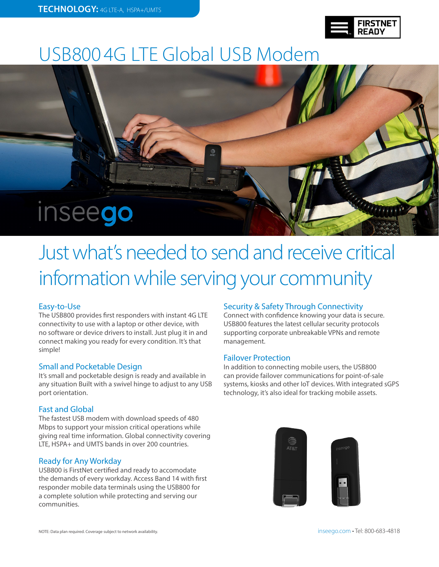| <b>FIRSTNET</b><br><b>READY</b> |
|---------------------------------|
|---------------------------------|

## USB800 4G LTE Global USB Modem



# Just what's needed to send and receive critical information while serving your community

#### Easy-to-Use

The USB800 provides first responders with instant 4G LTE connectivity to use with a laptop or other device, with no software or device drivers to install. Just plug it in and connect making you ready for every condition. It's that simple!

#### Small and Pocketable Design

It's small and pocketable design is ready and available in any situation Built with a swivel hinge to adjust to any USB port orientation.

#### Fast and Global

The fastest USB modem with download speeds of 480 Mbps to support your mission critical operations while giving real time information. Global connectivity covering LTE, HSPA+ and UMTS bands in over 200 countries.

#### Ready for Any Workday

USB800 is FirstNet certified and ready to accomodate the demands of every workday. Access Band 14 with first responder mobile data terminals using the USB800 for a complete solution while protecting and serving our communities.

#### Security & Safety Through Connectivity

Connect with confidence knowing your data is secure. USB800 features the latest cellular security protocols supporting corporate unbreakable VPNs and remote management.

#### Failover Protection

In addition to connecting mobile users, the USB800 can provide failover communications for point-of-sale systems, kiosks and other IoT devices. With integrated sGPS technology, it's also ideal for tracking mobile assets.